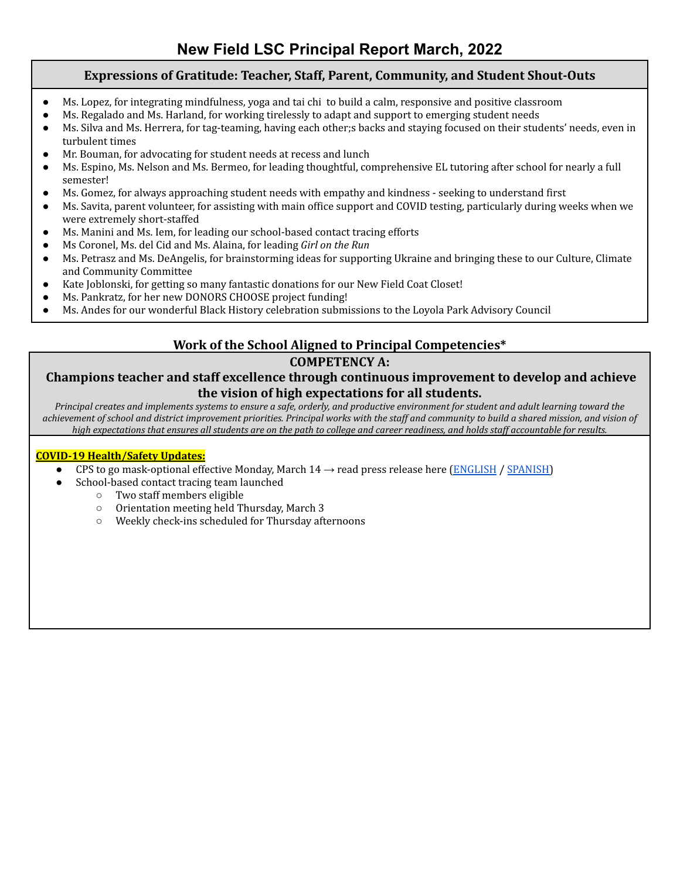# **Expressions of Gratitude: Teacher, Staff, Parent, Community, and Student Shout-Outs**

- Ms. Lopez, for integrating mindfulness, yoga and tai chi to build a calm, responsive and positive classroom
- Ms. Regalado and Ms. Harland, for working tirelessly to adapt and support to emerging student needs
- Ms. Silva and Ms. Herrera, for tag-teaming, having each other;s backs and staying focused on their students' needs, even in turbulent times
- Mr. Bouman, for advocating for student needs at recess and lunch
- Ms. Espino, Ms. Nelson and Ms. Bermeo, for leading thoughtful, comprehensive EL tutoring after school for nearly a full semester!
- Ms. Gomez, for always approaching student needs with empathy and kindness seeking to understand first
- Ms. Savita, parent volunteer, for assisting with main office support and COVID testing, particularly during weeks when we were extremely short-staffed
- Ms. Manini and Ms. Iem, for leading our school-based contact tracing efforts
- Ms Coronel, Ms. del Cid and Ms. Alaina, for leading *Girl on the Run*
- Ms. Petrasz and Ms. DeAngelis, for brainstorming ideas for supporting Ukraine and bringing these to our Culture, Climate and Community Committee
- Kate Joblonski, for getting so many fantastic donations for our New Field Coat Closet!
- Ms. Pankratz, for her new DONORS CHOOSE project funding!
- Ms. Andes for our wonderful Black History celebration submissions to the Loyola Park Advisory Council

# **Work of the School Aligned to Principal Competencies\***

# **COMPETENCY A:**

# **Champions teacher and staff excellence through continuous improvement to develop and achieve the vision of high expectations for all students.**

*Principal creates and implements systems to ensure a safe, orderly, and productive environment for student and adult learning toward the achievement of school and district improvement priorities. Principal works with the staff and community to build a shared mission, and vision of high expectations that ensures all students are on the path to college and career readiness, and holds staff accountable for results.*

#### **COVID-19 Health/Safety Updates:**

- CPS to go mask-optional effective Monday, March  $14 \rightarrow$  read press release here [\(ENGLISH](https://drive.google.com/file/d/1Aw2ZfvCVhEFdOEssbWu1NEKCza8gocjc/view) / [SPANISH\)](https://drive.google.com/file/d/1KjXgUo3B6aH2L4up99_s8w0ZHkjC3CRy/view)
- School-based contact tracing team launched
	- Two staff members eligible
	- Orientation meeting held Thursday, March 3
	- Weekly check-ins scheduled for Thursday afternoons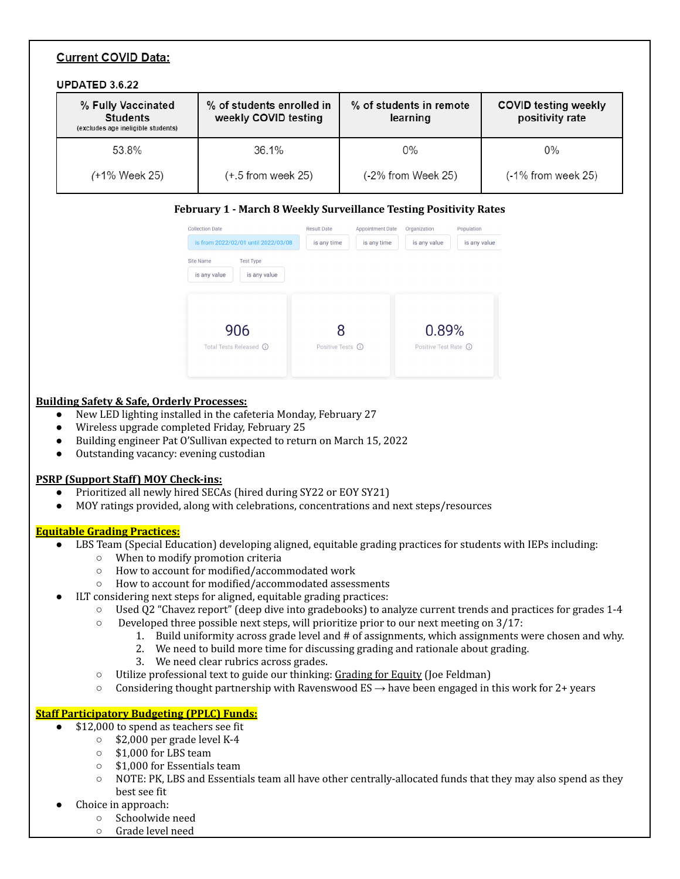#### **Current COVID Data:** UPDATED 3.6.22 % Fully Vaccinated % of students enrolled in % of students in remote **COVID testing weekly** weekly COVID testing positivity rate **Students** learning (excludes age ineligible students) 53.8% 36.1%  $0%$  $0\%$ (-2% from Week 25) (+1% Week 25)  $(+.5$  from week 25)  $(-1%$  from week 25)

#### **February 1 - March 8 Weekly Surveillance Testing Positivity Rates**

| <b>Collection Date</b><br>is from 2022/02/01 until 2022/03/08        | <b>Result Date</b><br>is any time | <b>Appointment Date</b><br>is any time | Organization<br>is any value    | Population<br>is any value |
|----------------------------------------------------------------------|-----------------------------------|----------------------------------------|---------------------------------|----------------------------|
| <b>Site Name</b><br><b>Test Type</b><br>is any value<br>is any value |                                   |                                        |                                 |                            |
| 906<br>Total Tests Released (i)                                      | Positive Tests (i)                |                                        | 0.89%<br>Positive Test Rate (i) |                            |

#### **Building Safety & Safe, Orderly Processes:**

- New LED lighting installed in the cafeteria Monday, February 27
- Wireless upgrade completed Friday, February 25
- Building engineer Pat O'Sullivan expected to return on March 15, 2022
- Outstanding vacancy: evening custodian

#### **PSRP (Support Staff) MOY Check-ins:**

- Prioritized all newly hired SECAs (hired during SY22 or EOY SY21)
- MOY ratings provided, along with celebrations, concentrations and next steps/resources

#### **Equitable Grading Practices:**

- LBS Team (Special Education) developing aligned, equitable grading practices for students with IEPs including:
	- When to modify promotion criteria
	- How to account for modified/accommodated work
	- How to account for modified/accommodated assessments
- ILT considering next steps for aligned, equitable grading practices:
	- Used Q2 "Chavez report" (deep dive into gradebooks) to analyze current trends and practices for grades 1-4
	- Developed three possible next steps, will prioritize prior to our next meeting on 3/17:
		- 1. Build uniformity across grade level and # of assignments, which assignments were chosen and why.
			- 2. We need to build more time for discussing grading and rationale about grading.
			- 3. We need clear rubrics across grades.
	- Utilize professional text to guide our thinking: Grading for Equity (Joe Feldman)
	- $\circ$  Considering thought partnership with Ravenswood ES  $\rightarrow$  have been engaged in this work for 2+ years

#### **Staff Participatory Budgeting (PPLC) Funds:**

- \$12,000 to spend as teachers see fit
	- $\circ$  \$2,000 per grade level K-4
		- \$1,000 for LBS team
		- \$1,000 for Essentials team
	- NOTE: PK, LBS and Essentials team all have other centrally-allocated funds that they may also spend as they best see fit
- Choice in approach:
	- Schoolwide need
	- Grade level need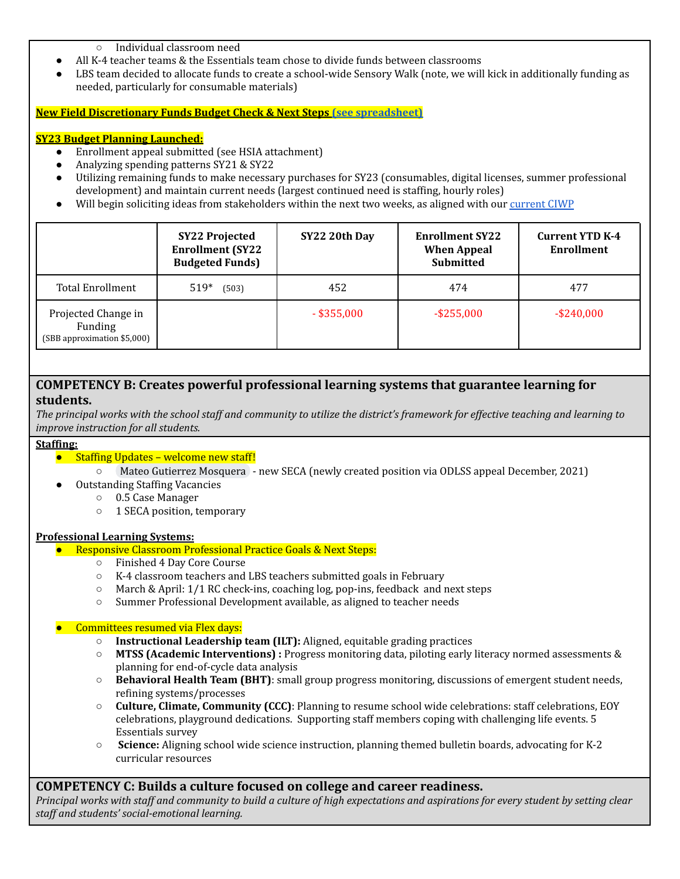#### ○ Individual classroom need

- All K-4 teacher teams & the Essentials team chose to divide funds between classrooms
- LBS team decided to allocate funds to create a school-wide Sensory Walk (note, we will kick in additionally funding as needed, particularly for consumable materials)

#### **New Field Discretionary Funds Budget Check & Next Steps (see [spreadsheet\)](https://docs.google.com/spreadsheets/d/1MCjvnVKZhuz2oCBHCJkiY-awggtTpKG_/edit?usp=sharing&ouid=110010619595071385205&rtpof=true&sd=true)**

#### **SY23 Budget Planning Launched:**

- Enrollment appeal submitted (see HSIA attachment)
- Analyzing spending patterns SY21 & SY22
- Utilizing remaining funds to make necessary purchases for SY23 (consumables, digital licenses, summer professional development) and maintain current needs (largest continued need is staffing, hourly roles)
- Will begin soliciting ideas from stakeholders within the next two weeks, as aligned with our [current](https://docs.google.com/spreadsheets/d/1PBQt-bgXR77qfLfLo8sh_m5SI-ZPc9BjgLHTT8UOdnQ/edit#gid=0) CIWP

|                                                               | <b>SY22 Projected</b><br><b>Enrollment (SY22</b><br><b>Budgeted Funds)</b> | SY22 20th Day | <b>Enrollment SY22</b><br><b>When Appeal</b><br>Submitted | <b>Current YTD K-4</b><br>Enrollment |
|---------------------------------------------------------------|----------------------------------------------------------------------------|---------------|-----------------------------------------------------------|--------------------------------------|
| <b>Total Enrollment</b>                                       | $519*$<br>(503)                                                            | 452           | 474                                                       | 477                                  |
| Projected Change in<br>Funding<br>(SBB approximation \$5,000) |                                                                            | $-$ \$355,000 | $-$ \$255,000                                             | $-$ \$240,000                        |

### **COMPETENCY B: Creates powerful professional learning systems that guarantee learning for students.**

The principal works with the school staff and community to utilize the district's framework for effective teaching and learning to *improve instruction for all students.*

#### **Staffing:**

● Staffing Updates – welcome new staff!

○ Mateo Gutierrez [Mosquera](mailto:mgutierrezmosquera@cps.edu) - new SECA (newly created position via ODLSS appeal December, 2021)

- **Outstanding Staffing Vacancies** 
	- 0.5 Case Manager
	- 1 SECA position, temporary

#### **Professional Learning Systems:**

- **Responsive Classroom Professional Practice Goals & Next Steps:** 
	- Finished 4 Day Core Course
	- K-4 classroom teachers and LBS teachers submitted goals in February
	- $\circ$  March & April: 1/1 RC check-ins, coaching log, pop-ins, feedback and next steps
	- Summer Professional Development available, as aligned to teacher needs

#### Committees resumed via Flex days:

- **Instructional Leadership team (ILT):** Aligned, equitable grading practices
- **MTSS (Academic Interventions) :** Progress monitoring data, piloting early literacy normed assessments & planning for end-of-cycle data analysis
- **Behavioral Health Team (BHT)**: small group progress monitoring, discussions of emergent student needs, refining systems/processes
- **Culture, Climate, Community (CCC)**: Planning to resume school wide celebrations: staff celebrations, EOY celebrations, playground dedications. Supporting staff members coping with challenging life events. 5 Essentials survey
- **Science:** Aligning school wide science instruction, planning themed bulletin boards, advocating for K-2 curricular resources

### **COMPETENCY C: Builds a culture focused on college and career readiness.**

Principal works with staff and community to build a culture of high expectations and aspirations for every student by setting clear *staf and students' social-emotional learning.*